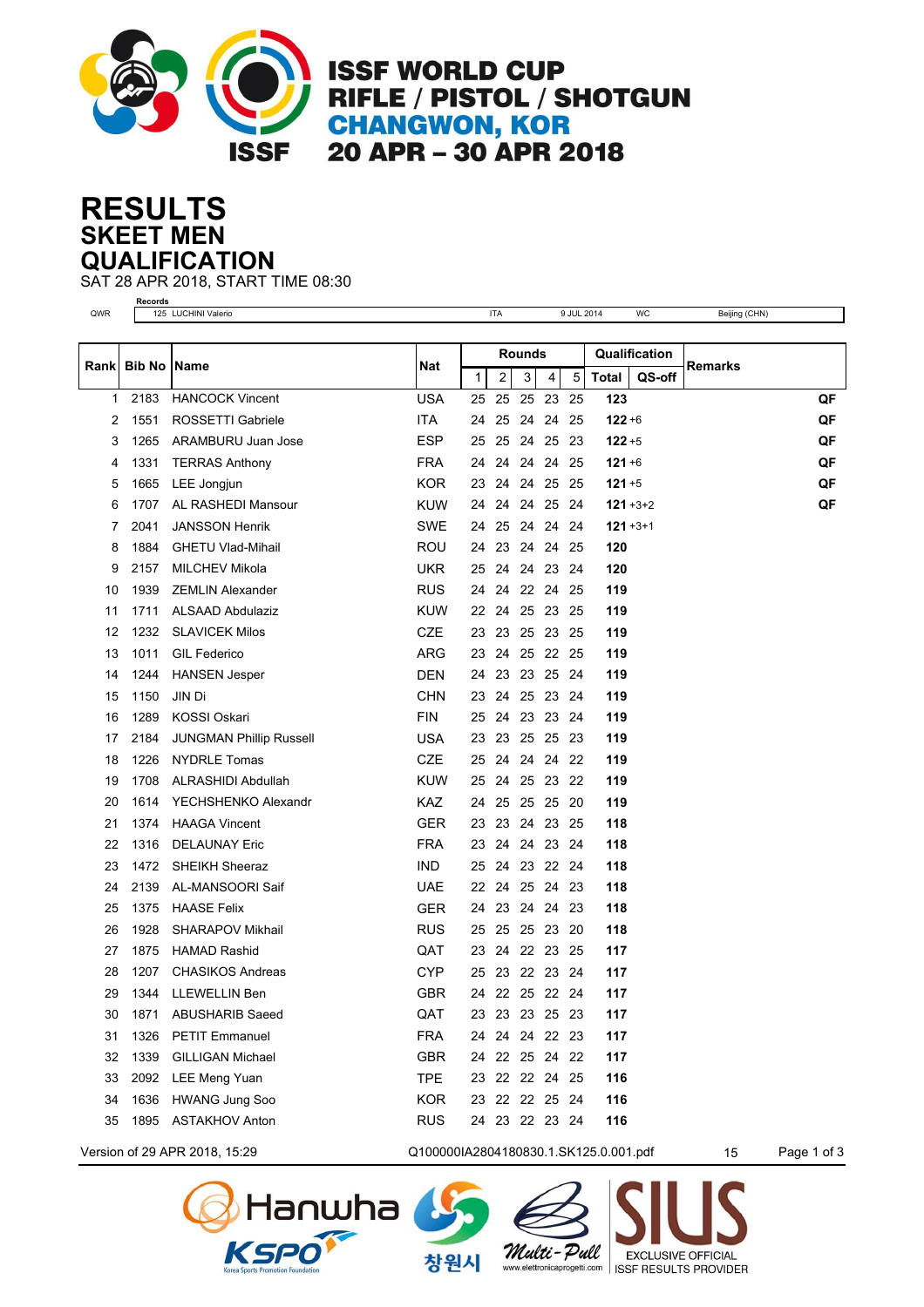

**ISSF WORLD CUP** RIFLE / PISTOL / SHOTGUN **CHANGWON, KOR<br>20 APR - 30 APR 2018** 

## **SKEET MEN RESULTS QUALIFICATION**

SAT 28 APR 2018, START TIME 08:30

|      |                      | Records<br>125 LUCHINI Valerio<br><b>ITA</b> |            |               |                |        |                |      | 9 JUL 2014      |               |                |    |  |  |
|------|----------------------|----------------------------------------------|------------|---------------|----------------|--------|----------------|------|-----------------|---------------|----------------|----|--|--|
| QWR  |                      |                                              |            |               |                |        |                |      |                 | WC            | Beijing (CHN)  |    |  |  |
|      |                      |                                              |            | <b>Rounds</b> |                |        |                |      | Qualification   |               |                |    |  |  |
| Rank | <b>Bib No   Name</b> |                                              | Nat        | 1             | $\overline{2}$ | 3<br>4 |                | 5    | QS-off<br>Total |               | <b>Remarks</b> |    |  |  |
| 1    | 2183                 | <b>HANCOCK Vincent</b>                       | USA        | 25            | 25             |        | 25 23          | 25   | 123             |               |                | QF |  |  |
| 2    | 1551                 | ROSSETTI Gabriele                            | <b>ITA</b> | 24            | 25             | 24     | 24             | 25   | $122 + 6$       |               |                | QF |  |  |
| 3    | 1265                 | ARAMBURU Juan Jose                           | <b>ESP</b> | 25            | 25             |        | 24 25          | -23  | $122 + 5$       |               |                | QF |  |  |
| 4    | 1331                 | <b>TERRAS Anthony</b>                        | FRA        | 24            | 24             | 24     | 24             | -25  | $121 + 6$       |               |                | QF |  |  |
| 5    | 1665                 | LEE Jongjun                                  | KOR        | 23            | 24             |        | 24 25          | -25  | $121 + 5$       |               |                | QF |  |  |
| 6    | 1707                 | AL RASHEDI Mansour                           | KUW        | 24            | 24             | 24     | 25             | 24   |                 | $121 + 3 + 2$ |                | QF |  |  |
| 7    | 2041                 | <b>JANSSON Henrik</b>                        | <b>SWE</b> | 24            | 25             | 24     | 24             | -24  |                 | $121 + 3 + 1$ |                |    |  |  |
| 8    | 1884                 | <b>GHETU Vlad-Mihail</b>                     | <b>ROU</b> |               | 24 23          |        | 24 24          | - 25 | 120             |               |                |    |  |  |
| 9    | 2157                 | <b>MILCHEV Mikola</b>                        | UKR        | 25            | 24             | 24     | 23             | -24  | 120             |               |                |    |  |  |
| 10   | 1939                 | <b>ZEMLIN Alexander</b>                      | <b>RUS</b> | 24            | 24             |        | 22 24          | -25  | 119             |               |                |    |  |  |
| 11   | 1711                 | <b>ALSAAD Abdulaziz</b>                      | <b>KUW</b> |               | 22 24          |        | 25 23 25       |      | 119             |               |                |    |  |  |
| 12   | 1232                 | <b>SLAVICEK Milos</b>                        | CZE        | 23            | 23             |        | 25 23 25       |      | 119             |               |                |    |  |  |
| 13   | 1011                 | <b>GIL Federico</b>                          | ARG        | 23            | 24             | 25     | 22 25          |      | 119             |               |                |    |  |  |
| 14   | 1244                 | <b>HANSEN Jesper</b>                         | <b>DEN</b> | 24            | 23             |        | 23 25          | 24   | 119             |               |                |    |  |  |
| 15   | 1150                 | JIN Di                                       | <b>CHN</b> | 23            | 24             |        | 25 23 24       |      | 119             |               |                |    |  |  |
| 16   | 1289                 | <b>KOSSI Oskari</b>                          | <b>FIN</b> | 25            | 24             | 23     | 23             | -24  | 119             |               |                |    |  |  |
| 17   | 2184                 | <b>JUNGMAN Phillip Russell</b>               | <b>USA</b> | 23            | 23             |        | 25 25          | - 23 | 119             |               |                |    |  |  |
| 18   | 1226                 | <b>NYDRLE Tomas</b>                          | <b>CZE</b> | 25            | 24             |        | 24 24 22       |      | 119             |               |                |    |  |  |
| 19   | 1708                 | ALRASHIDI Abdullah                           | <b>KUW</b> | 25            | 24             |        | 25 23 22       |      | 119             |               |                |    |  |  |
| 20   | 1614                 | YECHSHENKO Alexandr                          | KAZ.       | 24            | 25             | 25     | 25             | -20  | 119             |               |                |    |  |  |
| 21   | 1374                 | <b>HAAGA Vincent</b>                         | GER        | 23            | 23             | 24     | 23             | -25  | 118             |               |                |    |  |  |
| 22   | 1316                 | <b>DELAUNAY Eric</b>                         | <b>FRA</b> | 23            | 24             |        | 24 23 24       |      | 118             |               |                |    |  |  |
| 23   | 1472                 | <b>SHEIKH Sheeraz</b>                        | <b>IND</b> | 25            | 24             | 23     | 22 24          |      | 118             |               |                |    |  |  |
| 24   | 2139                 | AL-MANSOORI Saif                             | UAE        | 22            | 24             | 25     | -24            | -23  | 118             |               |                |    |  |  |
| 25   | 1375                 | <b>HAASE Felix</b>                           | <b>GER</b> | 24            | 23             |        | 24 24 23       |      | 118             |               |                |    |  |  |
| 26   | 1928                 | <b>SHARAPOV Mikhail</b>                      | RUS        | 25            | 25             |        | 25 23          | -20  | 118             |               |                |    |  |  |
| 27   | 1875                 | <b>HAMAD Rashid</b>                          | QAT        | 23            | 24             |        | 22 23          | 25   | 117             |               |                |    |  |  |
| 28   | 1207                 | <b>CHASIKOS Andreas</b>                      | <b>CYP</b> | 25            |                |        | 23 22 23 24    |      | 117             |               |                |    |  |  |
| 29   | 1344                 | LLEWELLIN Ben                                | GBR        | 24            |                |        | 22  25  22  24 |      | 117             |               |                |    |  |  |
| 30   | 1871                 | <b>ABUSHARIB Saeed</b>                       | QAT        | 23            |                |        | 23 23 25 23    |      | 117             |               |                |    |  |  |
| 31   | 1326                 | <b>PETIT Emmanuel</b>                        | <b>FRA</b> |               |                |        | 24 24 24 22 23 |      | 117             |               |                |    |  |  |
| 32   | 1339                 | <b>GILLIGAN Michael</b>                      | <b>GBR</b> |               |                |        | 24 22 25 24 22 |      | 117             |               |                |    |  |  |
| 33   | 2092                 | <b>LEE Meng Yuan</b>                         | <b>TPE</b> |               |                |        | 23 22 22 24 25 |      | 116             |               |                |    |  |  |
| 34   | 1636                 | <b>HWANG Jung Soo</b>                        | <b>KOR</b> |               |                |        | 23 22 22 25 24 |      | 116             |               |                |    |  |  |
| 35   | 1895                 | <b>ASTAKHOV Anton</b>                        | <b>RUS</b> |               |                |        | 24 23 22 23 24 |      | 116             |               |                |    |  |  |
|      |                      |                                              |            |               |                |        |                |      |                 |               |                |    |  |  |

Version of 29 APR 2018, 15:29 Q100000IA2804180830.1.SK125.0.001.pdf 15 Page 1 of 3



Multi-Pull

**EXCLUSIVE OFFICIAL** 

www.elettronicaprogetti.com | ISSF RESULTS PROVIDER

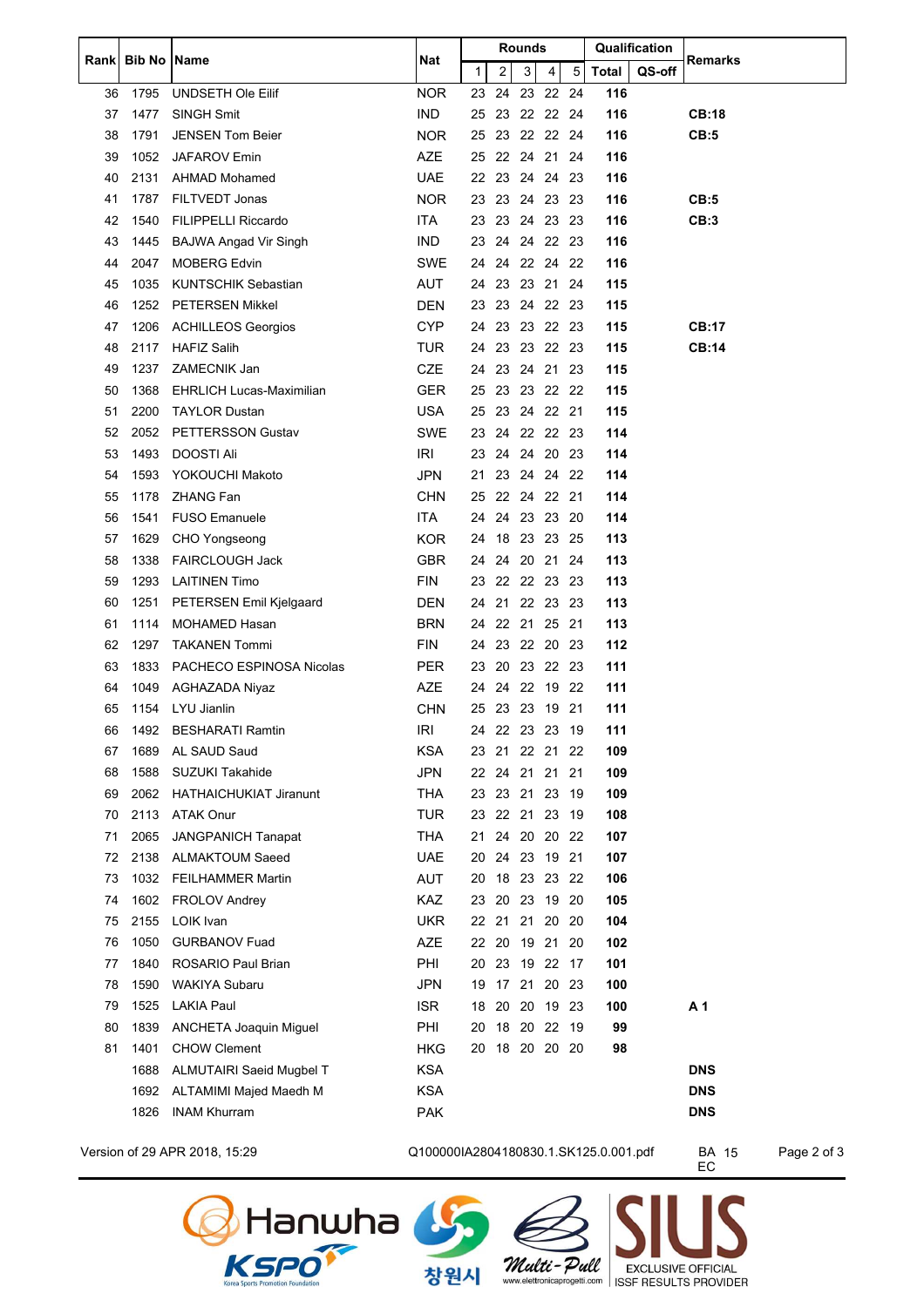| Rankl    | <b>Bib No   Name</b> |                                   | Nat               | <b>Rounds</b> |       |                |              |                |      | Qualification |        | <b>Remarks</b> |
|----------|----------------------|-----------------------------------|-------------------|---------------|-------|----------------|--------------|----------------|------|---------------|--------|----------------|
|          |                      |                                   |                   | $\mathbf{1}$  |       | $\overline{2}$ | $\mathbf{3}$ | $\overline{4}$ | 5    | <b>Total</b>  | QS-off |                |
| 36       | 1795                 | UNDSETH Ole Eilif                 | <b>NOR</b>        | 23            |       | 24             |              | 23 22 24       |      | 116           |        |                |
| 37       | 1477                 | SINGH Smit                        | <b>IND</b>        | 25            |       |                |              | 23 22 22 24    |      | 116           |        | <b>CB:18</b>   |
| 38       | 1791                 | <b>JENSEN Tom Beier</b>           | <b>NOR</b>        | 25            |       |                |              | 23 22 22 24    |      | 116           |        | CB:5           |
| 39       | 1052                 | <b>JAFAROV Emin</b>               | <b>AZE</b>        | 25            |       |                |              | 22 24 21 24    |      | 116           |        |                |
| 40       | 2131                 | AHMAD Mohamed                     | <b>UAE</b>        |               |       |                |              | 22 23 24 24 23 |      | 116           |        |                |
| 41       | 1787                 | FILTVEDT Jonas                    | <b>NOR</b>        |               |       |                |              | 23 23 24 23 23 |      | 116           |        | CB:5           |
| 42       | 1540                 | <b>FILIPPELLI Riccardo</b>        | ITA.              |               |       |                |              | 23 23 24 23 23 |      | 116           |        | CB:3           |
| 43       | 1445                 | <b>BAJWA Angad Vir Singh</b>      | <b>IND</b>        | 23            |       |                |              | 24 24 22 23    |      | 116           |        |                |
| 44       | 2047                 | <b>MOBERG Edvin</b>               | SWE               |               |       |                |              | 24 24 22 24 22 |      | 116           |        |                |
| 45       | 1035                 | <b>KUNTSCHIK Sebastian</b>        | <b>AUT</b>        | 24            |       |                |              | 23 23 21 24    |      | 115           |        |                |
| 46       | 1252                 | <b>PETERSEN Mikkel</b>            | <b>DEN</b>        | 23            |       |                |              | 23 24 22 23    |      | 115           |        |                |
| 47       | 1206                 | <b>ACHILLEOS Georgios</b>         | <b>CYP</b>        | 24            |       |                |              | 23 23 22 23    |      | 115           |        | <b>CB:17</b>   |
| 48       | 2117                 | <b>HAFIZ Salih</b>                | TUR               |               |       |                |              | 24 23 23 22 23 |      | 115           |        | <b>CB:14</b>   |
| 49       | 1237                 | ZAMECNIK Jan                      | <b>CZE</b>        |               |       |                |              | 24 23 24 21 23 |      | 115           |        |                |
| 50       | 1368                 | <b>EHRLICH Lucas-Maximilian</b>   | <b>GER</b>        | 25            |       |                |              | 23 23 22 22    |      | 115           |        |                |
| 51       | 2200                 | <b>TAYLOR Dustan</b>              | <b>USA</b>        |               |       |                |              | 25 23 24 22 21 |      | 115           |        |                |
| 52       | 2052                 | PETTERSSON Gustav                 | <b>SWE</b>        |               |       |                |              | 23 24 22 22 23 |      | 114           |        |                |
| 53       | 1493                 | <b>DOOSTI Ali</b>                 | <b>IRI</b>        | 23            |       |                |              | 24 24 20 23    |      | 114           |        |                |
| 54       | 1593                 | YOKOUCHI Makoto                   | <b>JPN</b>        | 21            |       |                |              | 23 24 24 22    |      | 114           |        |                |
| 55       | 1178                 | <b>ZHANG Fan</b>                  | CHN               | 25            |       |                |              | 22 24 22 21    |      | 114           |        |                |
| 56       | 1541                 | <b>FUSO Emanuele</b>              | ITA.              |               |       |                |              | 24 24 23 23 20 |      | 114           |        |                |
| 57       | 1629                 | CHO Yongseong                     | <b>KOR</b>        | 24            |       |                |              | 18 23 23 25    |      | 113           |        |                |
| 58       | 1338                 | <b>FAIRCLOUGH Jack</b>            | <b>GBR</b>        | 24            |       |                | 24 20 21     |                | -24  | 113           |        |                |
| 59       | 1293                 | <b>LAITINEN Timo</b>              | <b>FIN</b>        | 23            |       |                |              | 22 22 23 23    |      | 113           |        |                |
| 60       | 1251                 | PETERSEN Emil Kjelgaard           | DEN               | 24            |       |                |              | 21 22 23 23    |      | 113           |        |                |
| 61       | 1114                 | <b>MOHAMED Hasan</b>              | <b>BRN</b>        | 24            |       |                |              | 22 21 25 21    |      | 113           |        |                |
| 62       | 1297                 | <b>TAKANEN Tommi</b>              | <b>FIN</b>        | 24            |       |                |              | 23 22 20 23    |      | 112           |        |                |
| 63       | 1833                 | PACHECO ESPINOSA Nicolas          | <b>PER</b>        |               |       |                |              | 23 20 23 22 23 |      | 111           |        |                |
| 64       | 1049                 | AGHAZADA Niyaz                    | <b>AZE</b>        | 24            |       |                | 24 22 19     |                | - 22 | 111           |        |                |
| 65       | 1154                 | LYU Jianlin                       | <b>CHN</b>        |               |       |                |              | 25 23 23 19 21 |      | 111           |        |                |
| 66       | 1492                 | <b>BESHARATI Ramtin</b>           | IRI               |               |       |                |              | 24 22 23 23 19 |      | 111           |        |                |
| 67       | 1689                 | AL SAUD Saud                      | KSA               |               |       |                |              | 23 21 22 21 22 |      | 109           |        |                |
| 68       | 1588                 | SUZUKI Takahide                   | <b>JPN</b>        | 22            |       |                | 24 21 21     |                | 21   | 109           |        |                |
| 69       | 2062                 | <b>HATHAICHUKIAT Jiranunt</b>     | THA               | 23            |       |                | 23 21 23     |                | - 19 | 109           |        |                |
| 70       | 2113                 | <b>ATAK Onur</b>                  | <b>TUR</b>        |               |       |                |              | 23 22 21 23 19 |      | 108           |        |                |
| 71       | 2065                 | <b>JANGPANICH Tanapat</b>         | <b>THA</b>        | 21            |       |                |              | 24 20 20 22    |      | 107           |        |                |
| 72       | 2138                 | <b>ALMAKTOUM Saeed</b>            | <b>UAE</b>        |               |       |                |              | 20 24 23 19 21 |      | 107           |        |                |
| 73<br>74 | 1032<br>1602         | <b>FEILHAMMER Martin</b>          | AUT               | 20            |       |                |              | 18 23 23 22    |      | 106           |        |                |
| 75       | 2155                 | <b>FROLOV Andrey</b><br>LOIK Ivan | KAZ<br><b>UKR</b> | 23            |       |                | 22 21 21 20  | 20 23 19 20    | -20  | 105<br>104    |        |                |
| 76       | 1050                 | <b>GURBANOV Fuad</b>              | AZE               |               | 22 20 |                | 19 21        |                | -20  | 102           |        |                |
| 77       | 1840                 | ROSARIO Paul Brian                | PHI               |               |       |                |              | 20 23 19 22 17 |      | 101           |        |                |
| 78       | 1590                 | <b>WAKIYA Subaru</b>              | JPN               | 19            |       |                | 17 21        | 20 23          |      | 100           |        |                |
| 79       | 1525                 | <b>LAKIA Paul</b>                 | <b>ISR</b>        | 18            |       | 20             |              | 20 19 23       |      | 100           |        | A <sub>1</sub> |
| 80       | 1839                 | ANCHETA Joaquin Miguel            | PHI               | 20            |       |                |              | 18 20 22 19    |      | 99            |        |                |
| 81       | 1401                 | <b>CHOW Clement</b>               | HKG               |               |       |                |              | 20 18 20 20 20 |      | 98            |        |                |
|          | 1688                 | ALMUTAIRI Saeid Mugbel T          | <b>KSA</b>        |               |       |                |              |                |      |               |        | <b>DNS</b>     |
|          | 1692                 | ALTAMIMI Majed Maedh M            | <b>KSA</b>        |               |       |                |              |                |      |               |        | <b>DNS</b>     |
|          | 1826                 | <b>INAM Khurram</b>               | <b>PAK</b>        |               |       |                |              |                |      |               |        | <b>DNS</b>     |
|          |                      |                                   |                   |               |       |                |              |                |      |               |        |                |

Version of 29 APR 2018, 15:29 Q100000IA2804180830.1.SK125.0.001.pdf BA 15 Page 2 of 3

Multi-Pull

BA 15<br>EC

**EXCLUSIVE OFFICIAL** 

www.elettronicaprogetti.com | ISSF RESULTS PROVIDER